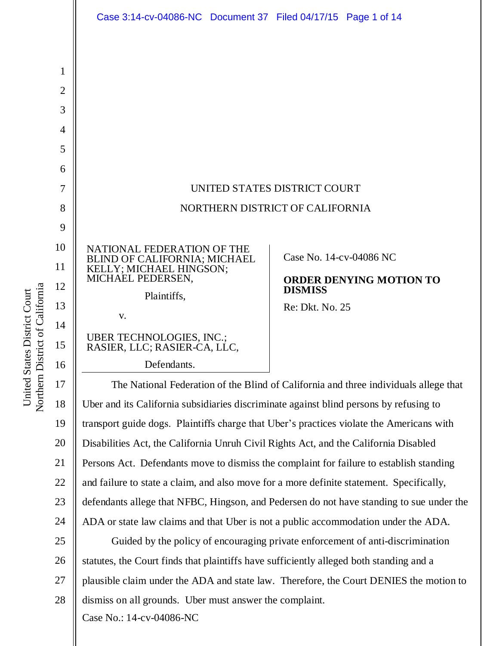

Northern District of California Northern District of California United States District Court United States District Court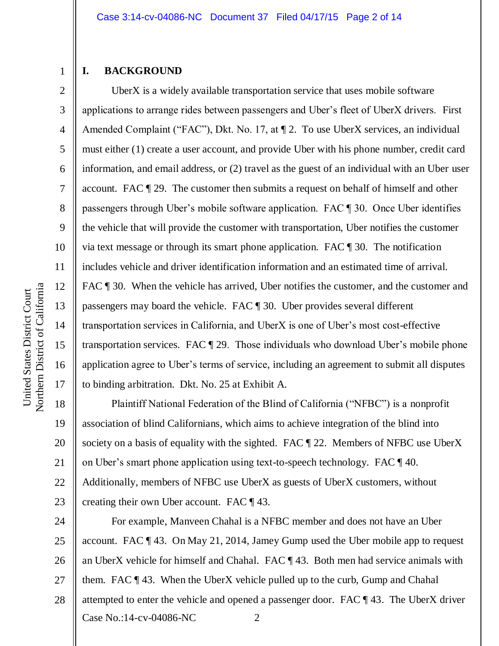### **I. BACKGROUND**

1

2

3

4

5

6

7

8

9

10

11

12

13

14

15

16

17

18

19

20

21

22

23

UberX is a widely available transportation service that uses mobile software applications to arrange rides between passengers and Uber's fleet of UberX drivers. First Amended Complaint ("FAC"), Dkt. No. 17, at  $\P$  2. To use UberX services, an individual must either (1) create a user account, and provide Uber with his phone number, credit card information, and email address, or (2) travel as the guest of an individual with an Uber user account. FAC ¶ 29. The customer then submits a request on behalf of himself and other passengers through Uber's mobile software application. FAC ¶ 30. Once Uber identifies the vehicle that will provide the customer with transportation, Uber notifies the customer via text message or through its smart phone application. FAC ¶ 30. The notification includes vehicle and driver identification information and an estimated time of arrival. FAC  $\parallel$  30. When the vehicle has arrived, Uber notifies the customer, and the customer and passengers may board the vehicle. FAC ¶ 30. Uber provides several different transportation services in California, and UberX is one of Uber's most cost-effective transportation services. FAC ¶ 29. Those individuals who download Uber's mobile phone application agree to Uber's terms of service, including an agreement to submit all disputes to binding arbitration. Dkt. No. 25 at Exhibit A.

Plaintiff National Federation of the Blind of California ("NFBC") is a nonprofit association of blind Californians, which aims to achieve integration of the blind into society on a basis of equality with the sighted. FAC  $\parallel$  22. Members of NFBC use UberX on Uber's smart phone application using text-to-speech technology. FAC ¶ 40. Additionally, members of NFBC use UberX as guests of UberX customers, without creating their own Uber account. FAC ¶ 43.

Case No.:14-cv-04086-NC 2 24 25 26 27 28 For example, Manveen Chahal is a NFBC member and does not have an Uber account. FAC ¶ 43. On May 21, 2014, Jamey Gump used the Uber mobile app to request an UberX vehicle for himself and Chahal. FAC ¶ 43. Both men had service animals with them. FAC ¶ 43. When the UberX vehicle pulled up to the curb, Gump and Chahal attempted to enter the vehicle and opened a passenger door. FAC ¶ 43. The UberX driver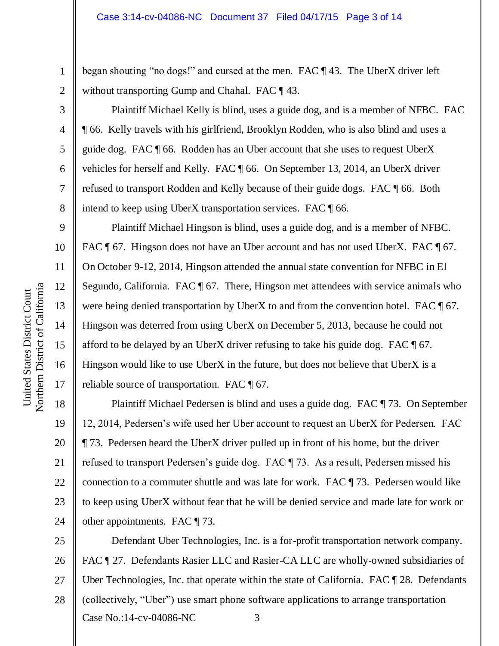began shouting "no dogs!" and cursed at the men. FAC ¶ 43. The UberX driver left without transporting Gump and Chahal. FAC  $\P$  43.

Plaintiff Michael Kelly is blind, uses a guide dog, and is a member of NFBC. FAC ¶ 66. Kelly travels with his girlfriend, Brooklyn Rodden, who is also blind and uses a guide dog. FAC ¶ 66. Rodden has an Uber account that she uses to request UberX vehicles for herself and Kelly. FAC ¶ 66. On September 13, 2014, an UberX driver refused to transport Rodden and Kelly because of their guide dogs. FAC ¶ 66. Both intend to keep using UberX transportation services. FAC ¶ 66.

Plaintiff Michael Hingson is blind, uses a guide dog, and is a member of NFBC. FAC ¶ 67. Hingson does not have an Uber account and has not used UberX. FAC ¶ 67. On October 9-12, 2014, Hingson attended the annual state convention for NFBC in El Segundo, California. FAC ¶ 67. There, Hingson met attendees with service animals who were being denied transportation by UberX to and from the convention hotel. FAC  $\llbracket 67$ . Hingson was deterred from using UberX on December 5, 2013, because he could not afford to be delayed by an UberX driver refusing to take his guide dog. FAC  $\llbracket$  67. Hingson would like to use UberX in the future, but does not believe that UberX is a reliable source of transportation. FAC ¶ 67.

Plaintiff Michael Pedersen is blind and uses a guide dog. FAC ¶ 73. On September 12, 2014, Pedersen's wife used her Uber account to request an UberX for Pedersen. FAC ¶ 73. Pedersen heard the UberX driver pulled up in front of his home, but the driver refused to transport Pedersen's guide dog. FAC ¶ 73. As a result, Pedersen missed his connection to a commuter shuttle and was late for work. FAC ¶ 73. Pedersen would like to keep using UberX without fear that he will be denied service and made late for work or other appointments. FAC ¶ 73.

Case No.:14-cv-04086-NC 3 25 26 27 28 Defendant Uber Technologies, Inc. is a for-profit transportation network company. FAC ¶ 27. Defendants Rasier LLC and Rasier-CA LLC are wholly-owned subsidiaries of Uber Technologies, Inc. that operate within the state of California. FAC  $\P$  28. Defendants (collectively, "Uber") use smart phone software applications to arrange transportation

1

2

3

4

5

6

7

8

9

10

11

12

13

14

15

16

17

18

19

20

21

22

23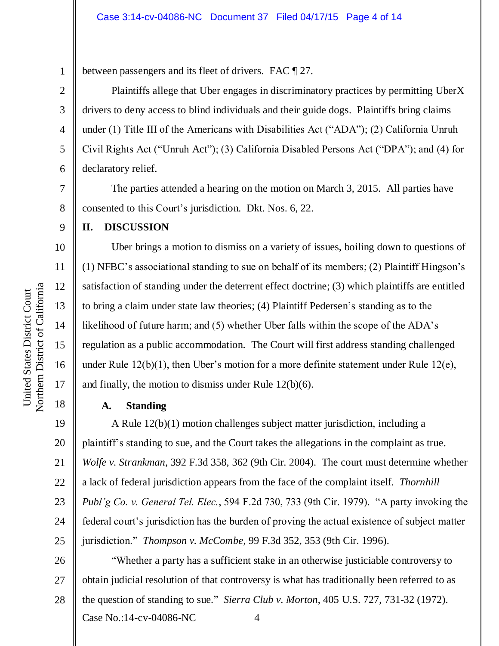between passengers and its fleet of drivers. FAC ¶ 27.

Plaintiffs allege that Uber engages in discriminatory practices by permitting UberX drivers to deny access to blind individuals and their guide dogs. Plaintiffs bring claims under (1) Title III of the Americans with Disabilities Act ("ADA"); (2) California Unruh Civil Rights Act ("Unruh Act"); (3) California Disabled Persons Act ("DPA"); and (4) for declaratory relief.

The parties attended a hearing on the motion on March 3, 2015. All parties have consented to this Court's jurisdiction. Dkt. Nos. 6, 22.

### **II. DISCUSSION**

Uber brings a motion to dismiss on a variety of issues, boiling down to questions of (1) NFBC's associational standing to sue on behalf of its members; (2) Plaintiff Hingson's satisfaction of standing under the deterrent effect doctrine; (3) which plaintiffs are entitled to bring a claim under state law theories; (4) Plaintiff Pedersen's standing as to the likelihood of future harm; and (5) whether Uber falls within the scope of the ADA's regulation as a public accommodation. The Court will first address standing challenged under Rule 12(b)(1), then Uber's motion for a more definite statement under Rule 12(e), and finally, the motion to dismiss under Rule 12(b)(6).

### **A. Standing**

19 20 21 22 23 24 25 A Rule 12(b)(1) motion challenges subject matter jurisdiction, including a plaintiff's standing to sue, and the Court takes the allegations in the complaint as true. *Wolfe v. Strankman*, 392 F.3d 358, 362 (9th Cir. 2004). The court must determine whether a lack of federal jurisdiction appears from the face of the complaint itself. *Thornhill Publ'g Co. v. General Tel. Elec.*, 594 F.2d 730, 733 (9th Cir. 1979). "A party invoking the federal court's jurisdiction has the burden of proving the actual existence of subject matter jurisdiction." *Thompson v. McCombe*, 99 F.3d 352, 353 (9th Cir. 1996).

Case No.:14-cv-04086-NC 4 26 27 28 "Whether a party has a sufficient stake in an otherwise justiciable controversy to obtain judicial resolution of that controversy is what has traditionally been referred to as the question of standing to sue." *Sierra Club v. Morton*, 405 U.S. 727, 731-32 (1972).

1

2

3

4

5

6

7

8

9

10

11

12

13

14

15

16

17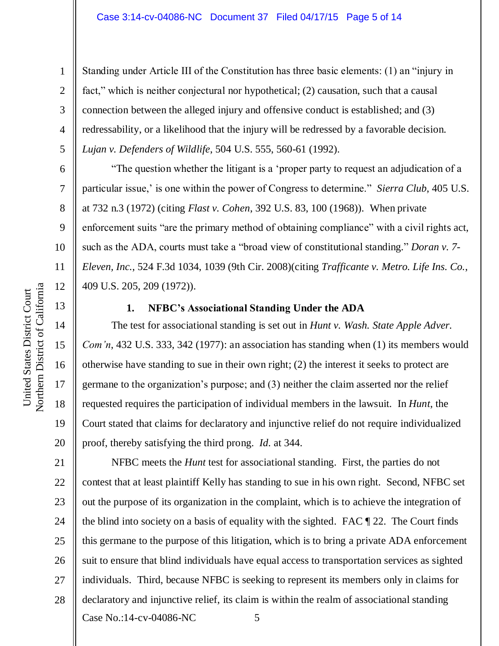Standing under Article III of the Constitution has three basic elements: (1) an "injury in fact," which is neither conjectural nor hypothetical; (2) causation, such that a causal connection between the alleged injury and offensive conduct is established; and (3) redressability, or a likelihood that the injury will be redressed by a favorable decision. *Lujan v. Defenders of Wildlife*, 504 U.S. 555, 560-61 (1992).

"The question whether the litigant is a 'proper party to request an adjudication of a particular issue,' is one within the power of Congress to determine." *Sierra Club*, 405 U.S. at 732 n.3 (1972) (citing *Flast v. Cohen*, 392 U.S. 83, 100 (1968)). When private enforcement suits "are the primary method of obtaining compliance" with a civil rights act, such as the ADA, courts must take a "broad view of constitutional standing." *Doran v. 7- Eleven, Inc.*, 524 F.3d 1034, 1039 (9th Cir. 2008)(citing *Trafficante v. Metro. Life Ins. Co.*, 409 U.S. 205, 209 (1972)).

#### **1. NFBC's Associational Standing Under the ADA**

The test for associational standing is set out in *Hunt v. Wash. State Apple Adver. Com'n*, 432 U.S. 333, 342 (1977): an association has standing when (1) its members would otherwise have standing to sue in their own right; (2) the interest it seeks to protect are germane to the organization's purpose; and (3) neither the claim asserted nor the relief requested requires the participation of individual members in the lawsuit. In *Hunt*, the Court stated that claims for declaratory and injunctive relief do not require individualized proof, thereby satisfying the third prong. *Id.* at 344.

Case No.:14-cv-04086-NC 5 NFBC meets the *Hunt* test for associational standing. First, the parties do not contest that at least plaintiff Kelly has standing to sue in his own right. Second, NFBC set out the purpose of its organization in the complaint, which is to achieve the integration of the blind into society on a basis of equality with the sighted. FAC ¶ 22. The Court finds this germane to the purpose of this litigation, which is to bring a private ADA enforcement suit to ensure that blind individuals have equal access to transportation services as sighted individuals. Third, because NFBC is seeking to represent its members only in claims for declaratory and injunctive relief, its claim is within the realm of associational standing

1

2

3

4

5

6

7

8

9

10

11

12

13

14

15

16

17

18

19

20

21

22

23

24

25

26

27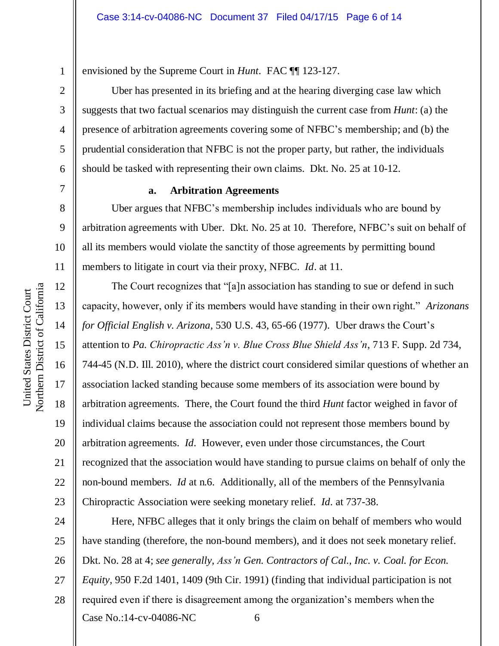1

7

8

9

10

11

12

13

14

15

16

17

18

19

20

21

22

23

6

envisioned by the Supreme Court in *Hunt*. FAC ¶¶ 123-127.

Uber has presented in its briefing and at the hearing diverging case law which suggests that two factual scenarios may distinguish the current case from *Hunt*: (a) the presence of arbitration agreements covering some of NFBC's membership; and (b) the prudential consideration that NFBC is not the proper party, but rather, the individuals should be tasked with representing their own claims. Dkt. No. 25 at 10-12.

### **a. Arbitration Agreements**

Uber argues that NFBC's membership includes individuals who are bound by arbitration agreements with Uber. Dkt. No. 25 at 10. Therefore, NFBC's suit on behalf of all its members would violate the sanctity of those agreements by permitting bound members to litigate in court via their proxy, NFBC. *Id*. at 11.

The Court recognizes that "[a]n association has standing to sue or defend in such capacity, however, only if its members would have standing in their own right." *Arizonans for Official English v. Arizona*, 530 U.S. 43, 65-66 (1977). Uber draws the Court's attention to *Pa. Chiropractic Ass'n v. Blue Cross Blue Shield Ass'n*, 713 F. Supp. 2d 734, 744-45 (N.D. Ill. 2010), where the district court considered similar questions of whether an association lacked standing because some members of its association were bound by arbitration agreements. There, the Court found the third *Hunt* factor weighed in favor of individual claims because the association could not represent those members bound by arbitration agreements. *Id.* However, even under those circumstances, the Court recognized that the association would have standing to pursue claims on behalf of only the non-bound members. *Id* at n.6. Additionally, all of the members of the Pennsylvania Chiropractic Association were seeking monetary relief. *Id.* at 737-38.

Case No.:14-cv-04086-NC 6 24 25 26 27 28 Here, NFBC alleges that it only brings the claim on behalf of members who would have standing (therefore, the non-bound members), and it does not seek monetary relief. Dkt. No. 28 at 4; *see generally, Ass'n Gen. Contractors of Cal., Inc. v. Coal. for Econ. Equity*, 950 F.2d 1401, 1409 (9th Cir. 1991) (finding that individual participation is not required even if there is disagreement among the organization's members when the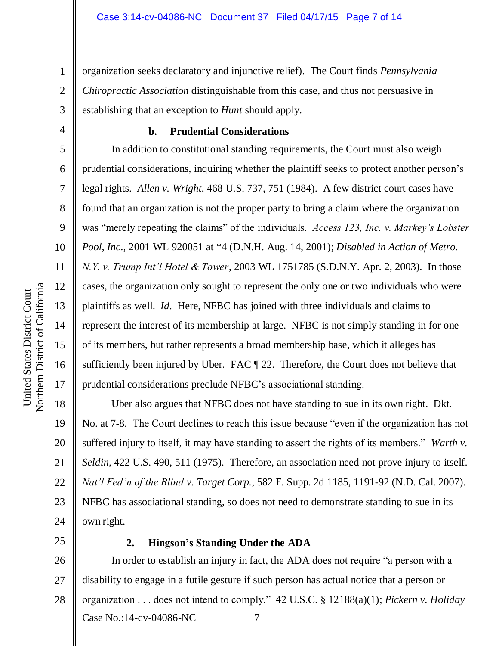organization seeks declaratory and injunctive relief). The Court finds *Pennsylvania Chiropractic Association* distinguishable from this case, and thus not persuasive in establishing that an exception to *Hunt* should apply.

# **b. Prudential Considerations**

In addition to constitutional standing requirements, the Court must also weigh prudential considerations, inquiring whether the plaintiff seeks to protect another person's legal rights. *Allen v. Wright*, 468 U.S. 737, 751 (1984). A few district court cases have found that an organization is not the proper party to bring a claim where the organization was "merely repeating the claims" of the individuals. *Access 123, Inc. v. Markey's Lobster Pool, Inc*., 2001 WL 920051 at \*4 (D.N.H. Aug. 14, 2001); *Disabled in Action of Metro. N.Y. v. Trump Int'l Hotel & Tower*, 2003 WL 1751785 (S.D.N.Y. Apr. 2, 2003). In those cases, the organization only sought to represent the only one or two individuals who were plaintiffs as well. *Id.* Here, NFBC has joined with three individuals and claims to represent the interest of its membership at large. NFBC is not simply standing in for one of its members, but rather represents a broad membership base, which it alleges has sufficiently been injured by Uber. FAC ¶ 22. Therefore, the Court does not believe that prudential considerations preclude NFBC's associational standing.

Uber also argues that NFBC does not have standing to sue in its own right. Dkt. No. at 7-8. The Court declines to reach this issue because "even if the organization has not suffered injury to itself, it may have standing to assert the rights of its members." *Warth v. Seldin*, 422 U.S. 490, 511 (1975). Therefore, an association need not prove injury to itself. *Nat'l Fed'n of the Blind v. Target Corp.*, 582 F. Supp. 2d 1185, 1191-92 (N.D. Cal. 2007). NFBC has associational standing, so does not need to demonstrate standing to sue in its own right.

25

# **2. Hingson's Standing Under the ADA**

Case No.:14-cv-04086-NC 7 26 27 28 In order to establish an injury in fact, the ADA does not require "a person with a disability to engage in a futile gesture if such person has actual notice that a person or organization . . . does not intend to comply." 42 U.S.C. § 12188(a)(1); *Pickern v. Holiday* 

1

2

3

4

5

6

7

8

9

10

11

12

13

14

15

16

17

18

19

20

21

22

23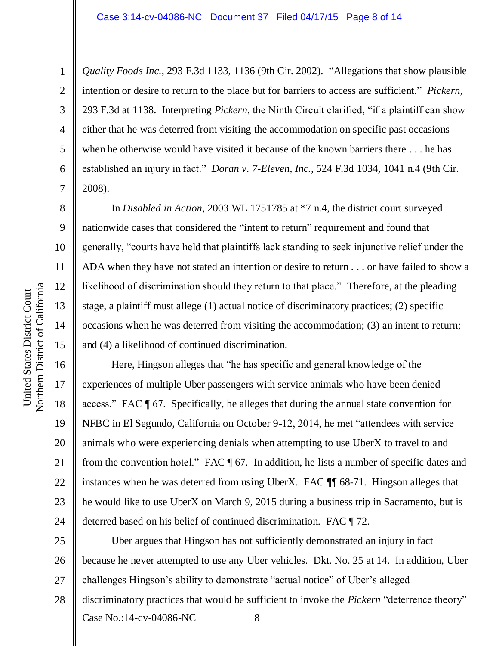*Quality Foods Inc.*, 293 F.3d 1133, 1136 (9th Cir. 2002). "Allegations that show plausible intention or desire to return to the place but for barriers to access are sufficient." *Pickern*, 293 F.3d at 1138. Interpreting *Pickern*, the Ninth Circuit clarified, "if a plaintiff can show either that he was deterred from visiting the accommodation on specific past occasions when he otherwise would have visited it because of the known barriers there . . . he has established an injury in fact." *Doran v. 7-Eleven, Inc.*, 524 F.3d 1034, 1041 n.4 (9th Cir. 2008).

In *Disabled in Action*, 2003 WL 1751785 at \*7 n.4, the district court surveyed nationwide cases that considered the "intent to return" requirement and found that generally, "courts have held that plaintiffs lack standing to seek injunctive relief under the ADA when they have not stated an intention or desire to return . . . or have failed to show a likelihood of discrimination should they return to that place." Therefore, at the pleading stage, a plaintiff must allege (1) actual notice of discriminatory practices; (2) specific occasions when he was deterred from visiting the accommodation; (3) an intent to return; and (4) a likelihood of continued discrimination.

Here, Hingson alleges that "he has specific and general knowledge of the experiences of multiple Uber passengers with service animals who have been denied access." FAC ¶ 67. Specifically, he alleges that during the annual state convention for NFBC in El Segundo, California on October 9-12, 2014, he met "attendees with service animals who were experiencing denials when attempting to use UberX to travel to and from the convention hotel." FAC ¶ 67*.* In addition, he lists a number of specific dates and instances when he was deterred from using UberX. FAC ¶¶ 68-71. Hingson alleges that he would like to use UberX on March 9, 2015 during a business trip in Sacramento, but is deterred based on his belief of continued discrimination. FAC ¶ 72.

Case No.:14-cv-04086-NC 8 25 26 27 28 Uber argues that Hingson has not sufficiently demonstrated an injury in fact because he never attempted to use any Uber vehicles. Dkt. No. 25 at 14. In addition, Uber challenges Hingson's ability to demonstrate "actual notice" of Uber's alleged discriminatory practices that would be sufficient to invoke the *Pickern* "deterrence theory"

1

2

3

4

5

6

7

8

9

10

11

12

13

14

15

16

17

18

19

20

21

22

23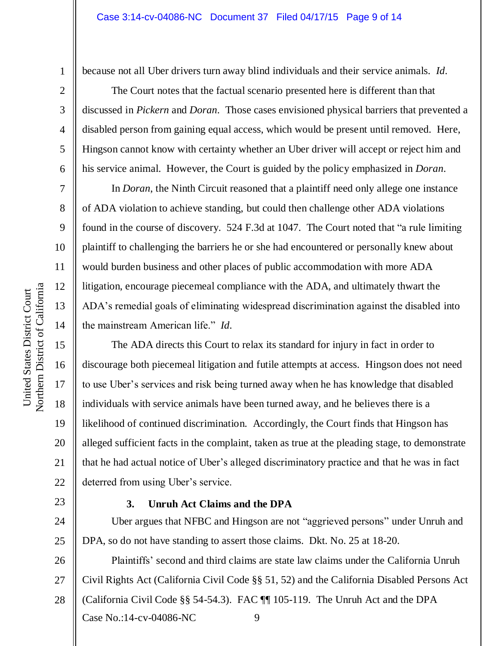7

8

9

10

11

12

13

14

15

16

17

18

19

20

21

22

23

24

25

1

because not all Uber drivers turn away blind individuals and their service animals. *Id.*

The Court notes that the factual scenario presented here is different than that discussed in *Pickern* and *Doran*. Those cases envisioned physical barriers that prevented a disabled person from gaining equal access, which would be present until removed. Here, Hingson cannot know with certainty whether an Uber driver will accept or reject him and his service animal. However, the Court is guided by the policy emphasized in *Doran*.

In *Doran*, the Ninth Circuit reasoned that a plaintiff need only allege one instance of ADA violation to achieve standing, but could then challenge other ADA violations found in the course of discovery. 524 F.3d at 1047. The Court noted that "a rule limiting plaintiff to challenging the barriers he or she had encountered or personally knew about would burden business and other places of public accommodation with more ADA litigation, encourage piecemeal compliance with the ADA, and ultimately thwart the ADA's remedial goals of eliminating widespread discrimination against the disabled into the mainstream American life." *Id.*

The ADA directs this Court to relax its standard for injury in fact in order to discourage both piecemeal litigation and futile attempts at access. Hingson does not need to use Uber's services and risk being turned away when he has knowledge that disabled individuals with service animals have been turned away, and he believes there is a likelihood of continued discrimination. Accordingly, the Court finds that Hingson has alleged sufficient facts in the complaint, taken as true at the pleading stage, to demonstrate that he had actual notice of Uber's alleged discriminatory practice and that he was in fact deterred from using Uber's service.

### **3. Unruh Act Claims and the DPA**

Uber argues that NFBC and Hingson are not "aggrieved persons" under Unruh and DPA, so do not have standing to assert those claims. Dkt. No. 25 at 18-20.

Case No.:14-cv-04086-NC 9 26 27 28 Plaintiffs' second and third claims are state law claims under the California Unruh Civil Rights Act (California Civil Code §§ 51, 52) and the California Disabled Persons Act (California Civil Code §§ 54-54.3). FAC ¶¶ 105-119. The Unruh Act and the DPA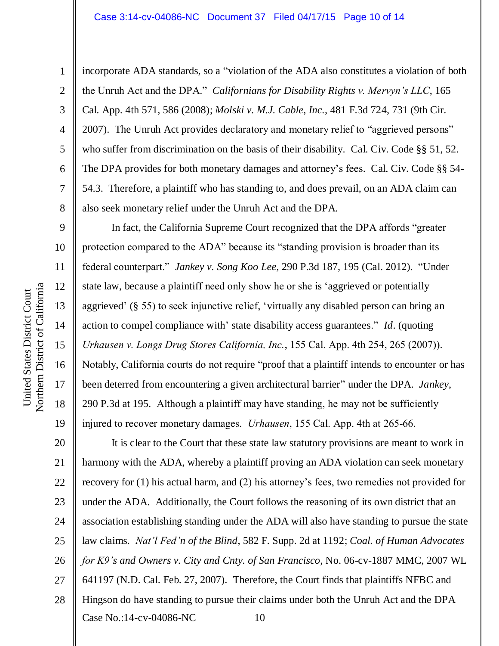incorporate ADA standards, so a "violation of the ADA also constitutes a violation of both the Unruh Act and the DPA." *Californians for Disability Rights v. Mervyn's LLC*, 165 Cal. App. 4th 571, 586 (2008); *Molski v. M.J. Cable, Inc.*, 481 F.3d 724, 731 (9th Cir. 2007). The Unruh Act provides declaratory and monetary relief to "aggrieved persons" who suffer from discrimination on the basis of their disability. Cal. Civ. Code §§ 51, 52. The DPA provides for both monetary damages and attorney's fees. Cal. Civ. Code §§ 54- 54.3. Therefore, a plaintiff who has standing to, and does prevail, on an ADA claim can also seek monetary relief under the Unruh Act and the DPA.

In fact, the California Supreme Court recognized that the DPA affords "greater protection compared to the ADA" because its "standing provision is broader than its federal counterpart." *Jankey v. Song Koo Lee*, 290 P.3d 187, 195 (Cal. 2012). "Under state law, because a plaintiff need only show he or she is 'aggrieved or potentially aggrieved' (§ 55) to seek injunctive relief, 'virtually any disabled person can bring an action to compel compliance with' state disability access guarantees." *Id*. (quoting *Urhausen v. Longs Drug Stores California, Inc.*, 155 Cal. App. 4th 254, 265 (2007)). Notably, California courts do not require "proof that a plaintiff intends to encounter or has been deterred from encountering a given architectural barrier" under the DPA. *Jankey*, 290 P.3d at 195. Although a plaintiff may have standing, he may not be sufficiently injured to recover monetary damages. *Urhausen*, 155 Cal. App. 4th at 265-66.

Case No.:14-cv-04086-NC 10 20 21 22 23 24 25 26 27 28 It is clear to the Court that these state law statutory provisions are meant to work in harmony with the ADA, whereby a plaintiff proving an ADA violation can seek monetary recovery for (1) his actual harm, and (2) his attorney's fees, two remedies not provided for under the ADA. Additionally, the Court follows the reasoning of its own district that an association establishing standing under the ADA will also have standing to pursue the state law claims. *Nat'l Fed'n of the Blind*, 582 F. Supp. 2d at 1192; *Coal. of Human Advocates for K9's and Owners v. City and Cnty. of San Francisco*, No. 06-cv-1887 MMC, 2007 WL 641197 (N.D. Cal. Feb. 27, 2007). Therefore, the Court finds that plaintiffs NFBC and Hingson do have standing to pursue their claims under both the Unruh Act and the DPA

1

2

3

4

5

6

7

8

9

10

11

12

13

14

15

16

17

18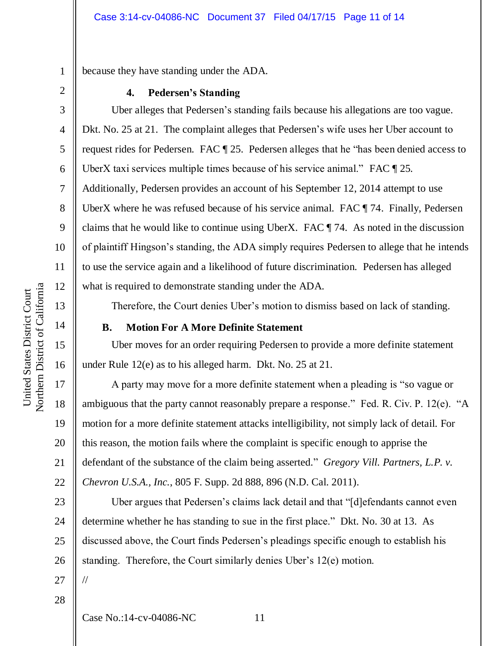because they have standing under the ADA.

### **4. Pedersen's Standing**

Uber alleges that Pedersen's standing fails because his allegations are too vague. Dkt. No. 25 at 21. The complaint alleges that Pedersen's wife uses her Uber account to request rides for Pedersen. FAC ¶ 25. Pedersen alleges that he "has been denied access to UberX taxi services multiple times because of his service animal." FAC ¶ 25*.* Additionally, Pedersen provides an account of his September 12, 2014 attempt to use UberX where he was refused because of his service animal. FAC ¶ 74. Finally, Pedersen claims that he would like to continue using UberX. FAC ¶ 74. As noted in the discussion of plaintiff Hingson's standing, the ADA simply requires Pedersen to allege that he intends to use the service again and a likelihood of future discrimination. Pedersen has alleged what is required to demonstrate standing under the ADA.

Therefore, the Court denies Uber's motion to dismiss based on lack of standing.

### **B. Motion For A More Definite Statement**

Uber moves for an order requiring Pedersen to provide a more definite statement under Rule 12(e) as to his alleged harm. Dkt. No. 25 at 21.

A party may move for a more definite statement when a pleading is "so vague or ambiguous that the party cannot reasonably prepare a response." Fed. R. Civ. P. 12(e). "A motion for a more definite statement attacks intelligibility, not simply lack of detail. For this reason, the motion fails where the complaint is specific enough to apprise the defendant of the substance of the claim being asserted." *Gregory Vill. Partners, L.P. v. Chevron U.S.A., Inc.*, 805 F. Supp. 2d 888, 896 (N.D. Cal. 2011).

23 24 25 26 27 Uber argues that Pedersen's claims lack detail and that "[d]efendants cannot even determine whether he has standing to sue in the first place." Dkt. No. 30 at 13. As discussed above, the Court finds Pedersen's pleadings specific enough to establish his standing. Therefore, the Court similarly denies Uber's 12(e) motion. //

28

Case No.:14-cv-04086-NC 11

1

2

3

4

5

6

7

8

9

10

11

12

13

14

15

16

17

18

19

20

21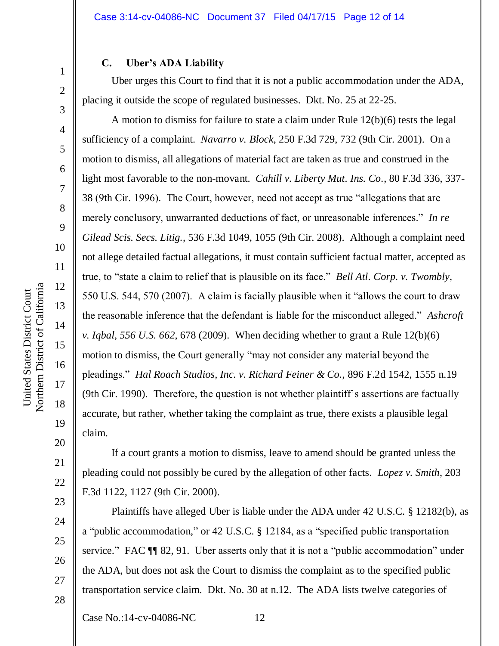#### **C. Uber's ADA Liability**

Uber urges this Court to find that it is not a public accommodation under the ADA, placing it outside the scope of regulated businesses. Dkt. No. 25 at 22-25.

A motion to dismiss for failure to state a claim under Rule 12(b)(6) tests the legal sufficiency of a complaint. *Navarro v. Block*, 250 F.3d 729, 732 (9th Cir. 2001). On a motion to dismiss, all allegations of material fact are taken as true and construed in the light most favorable to the non-movant. *Cahill v. Liberty Mut. Ins. Co.*, 80 F.3d 336, 337- 38 (9th Cir. 1996). The Court, however, need not accept as true "allegations that are merely conclusory, unwarranted deductions of fact, or unreasonable inferences." *In re Gilead Scis. Secs. Litig.*, 536 F.3d 1049, 1055 (9th Cir. 2008). Although a complaint need not allege detailed factual allegations, it must contain sufficient factual matter, accepted as true, to "state a claim to relief that is plausible on its face." *Bell Atl. Corp. v. Twombly*, 550 U.S. 544, 570 (2007). A claim is facially plausible when it "allows the court to draw the reasonable inference that the defendant is liable for the misconduct alleged." *Ashcroft v. Iqbal, 556 U.S. 662*, 678 (2009). When deciding whether to grant a Rule 12(b)(6) motion to dismiss, the Court generally "may not consider any material beyond the pleadings." *Hal Roach Studios, Inc. v. Richard Feiner & Co.*, 896 F.2d 1542, 1555 n.19 (9th Cir. 1990). Therefore, the question is not whether plaintiff's assertions are factually accurate, but rather, whether taking the complaint as true, there exists a plausible legal claim.

If a court grants a motion to dismiss, leave to amend should be granted unless the pleading could not possibly be cured by the allegation of other facts. *Lopez v. Smith*, 203 F.3d 1122, 1127 (9th Cir. 2000).

Plaintiffs have alleged Uber is liable under the ADA under 42 U.S.C. § 12182(b), as a "public accommodation," or 42 U.S.C. § 12184, as a "specified public transportation service." FAC ¶¶ 82, 91. Uber asserts only that it is not a "public accommodation" under the ADA, but does not ask the Court to dismiss the complaint as to the specified public transportation service claim. Dkt. No. 30 at n.12. The ADA lists twelve categories of

Case No.:14-cv-04086-NC 12

1

2

3

4

5

6

7

8

9

10

11

12

13

14

15

16

17

18

19

20

21

22

23

24

25

26

27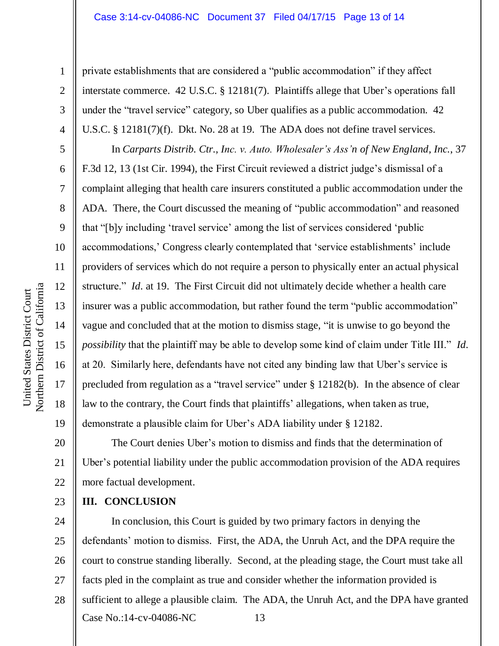private establishments that are considered a "public accommodation" if they affect interstate commerce. 42 U.S.C. § 12181(7). Plaintiffs allege that Uber's operations fall under the "travel service" category, so Uber qualifies as a public accommodation. 42 U.S.C. § 12181(7)(f). Dkt. No. 28 at 19. The ADA does not define travel services.

In *Carparts Distrib. Ctr., Inc. v. Auto. Wholesaler's Ass'n of New England, Inc.*, 37 F.3d 12, 13 (1st Cir. 1994), the First Circuit reviewed a district judge's dismissal of a complaint alleging that health care insurers constituted a public accommodation under the ADA. There, the Court discussed the meaning of "public accommodation" and reasoned that "[b]y including 'travel service' among the list of services considered 'public accommodations,' Congress clearly contemplated that 'service establishments' include providers of services which do not require a person to physically enter an actual physical structure." *Id.* at 19. The First Circuit did not ultimately decide whether a health care insurer was a public accommodation, but rather found the term "public accommodation" vague and concluded that at the motion to dismiss stage, "it is unwise to go beyond the *possibility* that the plaintiff may be able to develop some kind of claim under Title III." *Id.* at 20. Similarly here, defendants have not cited any binding law that Uber's service is precluded from regulation as a "travel service" under § 12182(b). In the absence of clear law to the contrary, the Court finds that plaintiffs' allegations, when taken as true, demonstrate a plausible claim for Uber's ADA liability under § 12182.

20 21 22 The Court denies Uber's motion to dismiss and finds that the determination of Uber's potential liability under the public accommodation provision of the ADA requires more factual development.

**III. CONCLUSION**

Case No.:14-cv-04086-NC 13 24 25 26 27 28 In conclusion, this Court is guided by two primary factors in denying the defendants' motion to dismiss. First, the ADA, the Unruh Act, and the DPA require the court to construe standing liberally. Second, at the pleading stage, the Court must take all facts pled in the complaint as true and consider whether the information provided is sufficient to allege a plausible claim. The ADA, the Unruh Act, and the DPA have granted

1

2

3

4

5

6

7

8

9

10

11

12

13

14

15

16

17

18

19